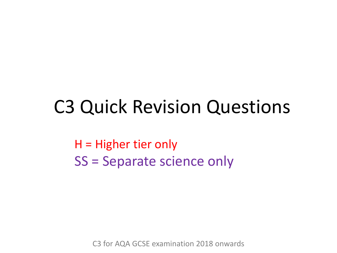## C3 Quick Revision Questions

H = Higher tier only SS = Separate science only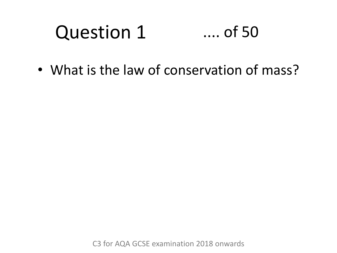#### Question 1 .... of 50

• What is the law of conservation of mass?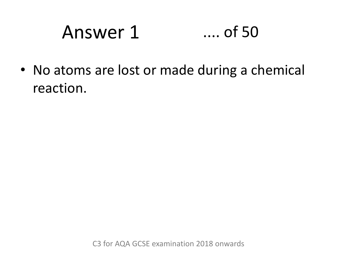# Answer 1 .... of 50

• No atoms are lost or made during a chemical reaction.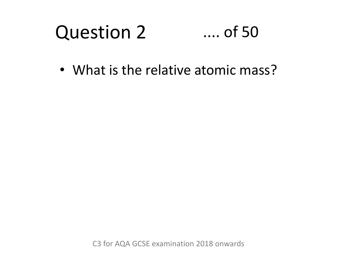#### Question 2 .... of 50

• What is the relative atomic mass?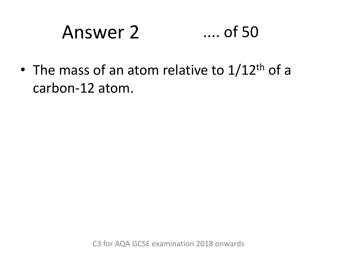# Answer 2 .... of 50

• The mass of an atom relative to  $1/12$ <sup>th</sup> of a carbon-12 atom.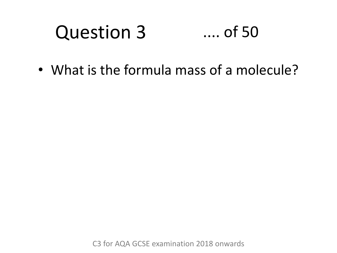#### Question 3 .... of 50

• What is the formula mass of a molecule?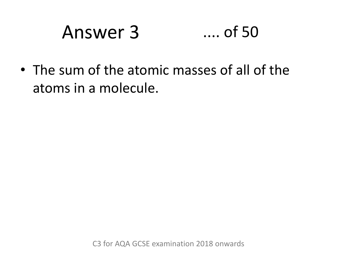# Answer 3 .... of 50

• The sum of the atomic masses of all of the atoms in a molecule.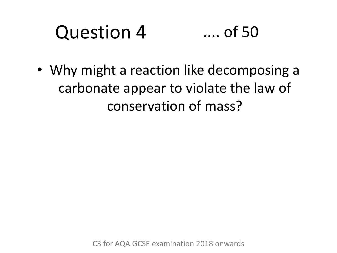#### Question 4 .... of 50

• Why might a reaction like decomposing a carbonate appear to violate the law of conservation of mass?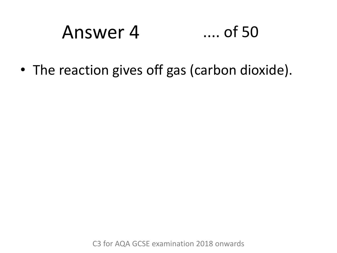## Answer 4 .... of 50

• The reaction gives off gas (carbon dioxide).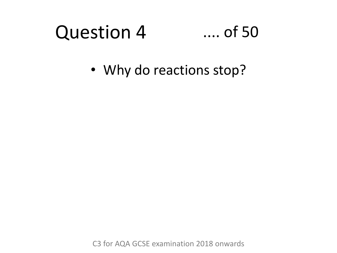#### Question 4 .... of 50

• Why do reactions stop?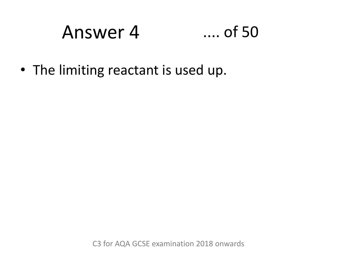# Answer 4 .... of 50

• The limiting reactant is used up.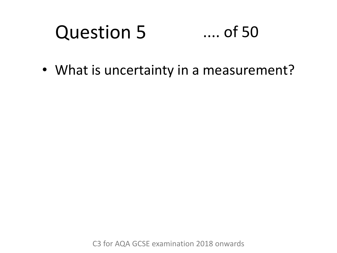#### Question 5 .... of 50

• What is uncertainty in a measurement?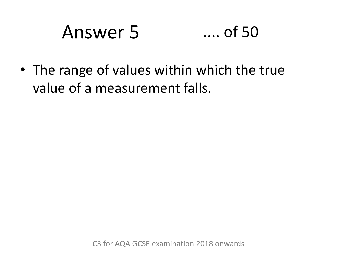# Answer 5 .... of 50

• The range of values within which the true value of a measurement falls.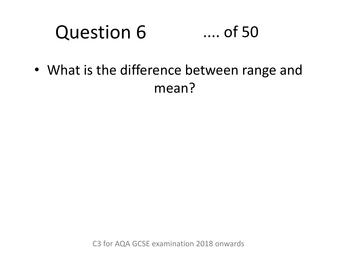#### Question 6 .... of 50

• What is the difference between range and mean?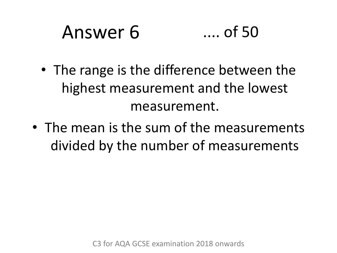#### Answer 6 .... of 50

- The range is the difference between the highest measurement and the lowest measurement.
- The mean is the sum of the measurements divided by the number of measurements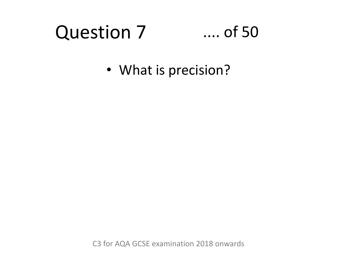#### Question 7 .... of 50

• What is precision?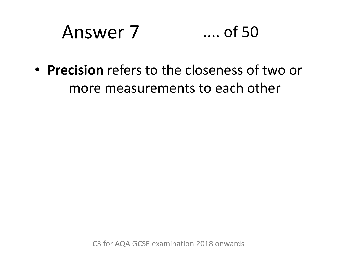#### Answer 7 .... of 50

• **Precision** refers to the closeness of two or more measurements to each other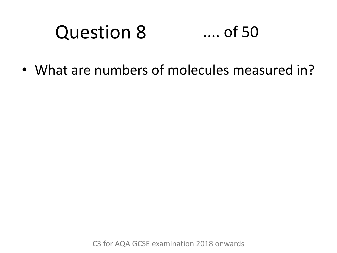#### Question 8 .... of 50

• What are numbers of molecules measured in?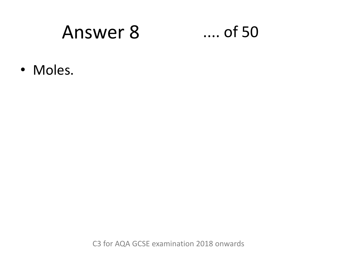### Answer 8

### $\dots$  of 50

· Moles.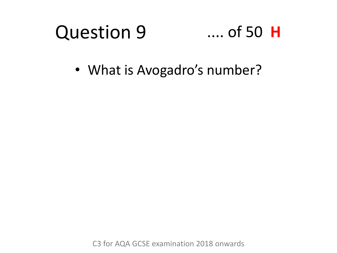#### Question 9 .... of 50 **H**

• What is Avogadro's number?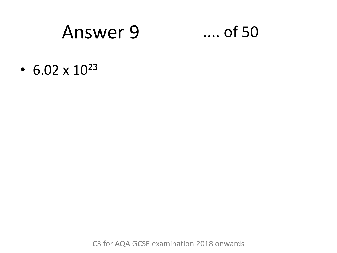### Answer 9

### $\dots$  of 50

• 6.02  $\times$  10<sup>23</sup>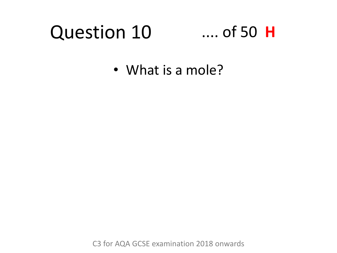#### Question 10 .... of 50 **H**

• What is a mole?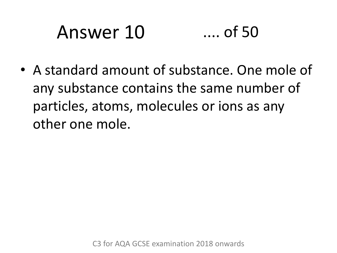# Answer 10 .... of 50

• A standard amount of substance. One mole of any substance contains the same number of particles, atoms, molecules or ions as any other one mole.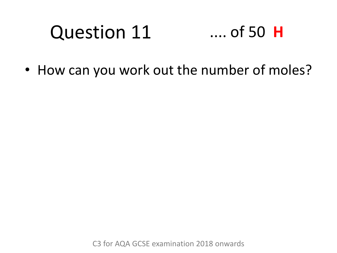### Question 11 .... of 50 **H**

• How can you work out the number of moles?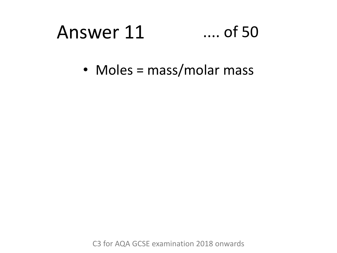#### Answer 11  $\ldots$  of 50

• Moles = mass/molar mass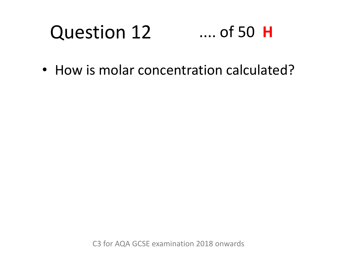### Question 12 .... of 50 **H**

• How is molar concentration calculated?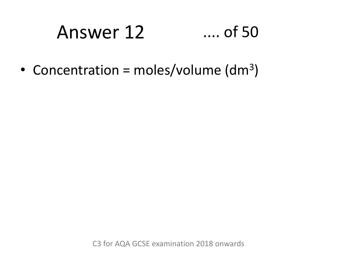# Answer 12 .... of 50

• Concentration = moles/volume  $(dm<sup>3</sup>)$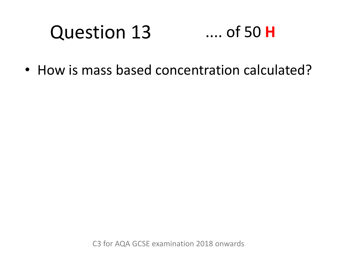### Question 13 .... of 50 **H**

• How is mass based concentration calculated?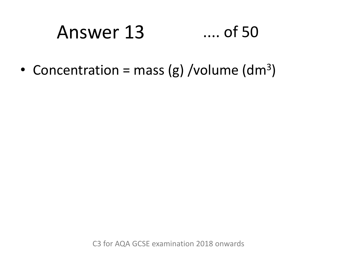# Answer 13 .... of 50

• Concentration = mass (g) /volume (dm<sup>3</sup>)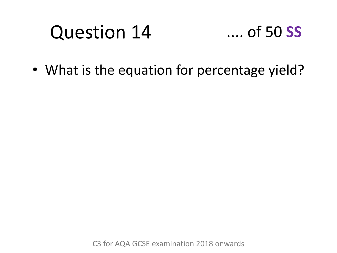# Question 14



• What is the equation for percentage yield?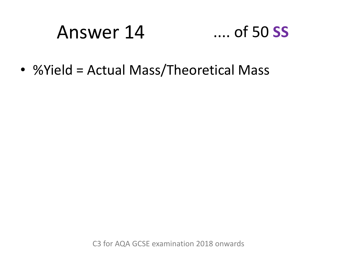# Answer 14 .... of 50 **SS**

• %Yield = Actual Mass/Theoretical Mass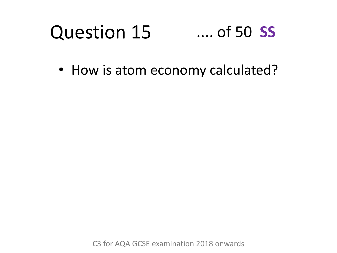#### Question 15 .... of 50 **SS**

• How is atom economy calculated?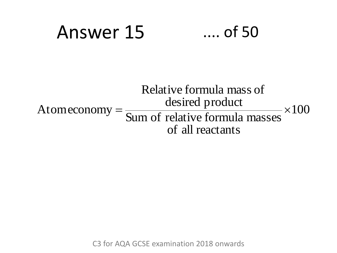# Answer 15 .... of 50

#### $\times100$ of all reactants Sum of relative formula masses desired product Relative formula mass of Atomeconomy  $=\frac{a \cos \alpha}{\cos \alpha}$   $\frac{a}{\sin \alpha}$   $\frac{b}{\cos \alpha}$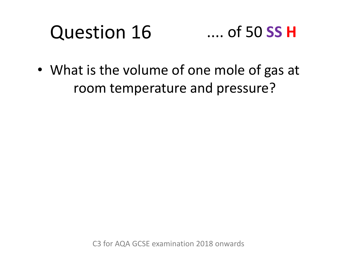### Question 16 .... of 50 **SS H**

• What is the volume of one mole of gas at room temperature and pressure?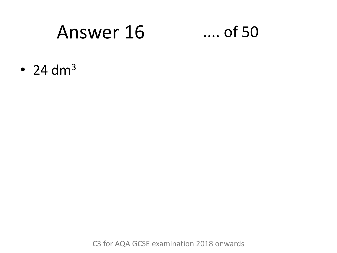### Answer 16

### $\dots$  of 50

 $\cdot$  24 dm<sup>3</sup>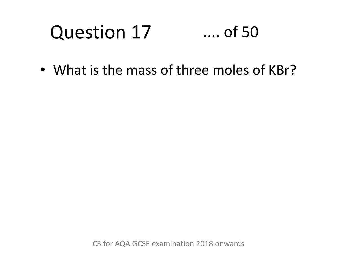### Question 17 .... of 50

• What is the mass of three moles of KBr?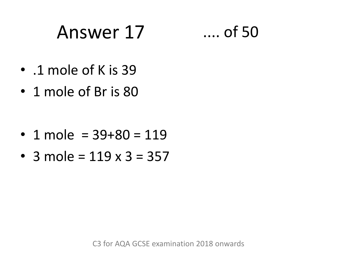# Answer 17 .... of 50

- .1 mole of K is 39
- 1 mole of Br is 80

- 1 mole =  $39+80 = 119$
- 3 mole =  $119 \times 3 = 357$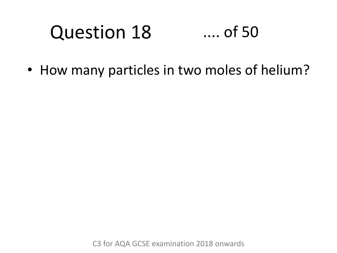#### Question 18 .... of 50

• How many particles in two moles of helium?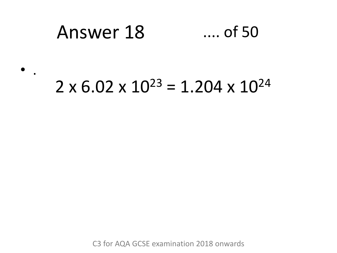#### Answer 18  $\dots$  of 50

### $2 \times 6.02 \times 10^{23} = 1.204 \times 10^{24}$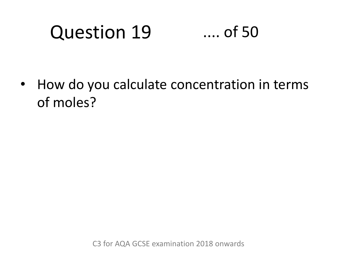# Question 19 .... of 50

• How do you calculate concentration in terms of moles?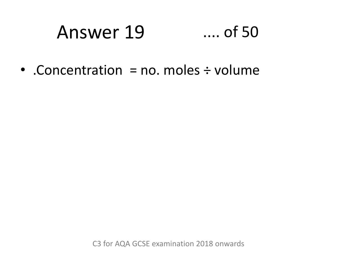#### Answer 19  $\dots$  of 50

• Concentration = no. moles  $\div$  volume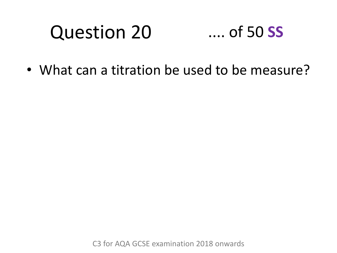# Question 20

### .... of 50 **SS**

• What can a titration be used to be measure?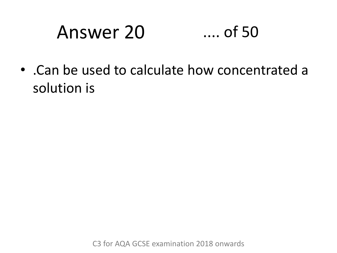# Answer 20 .... of 50

• .Can be used to calculate how concentrated a solution is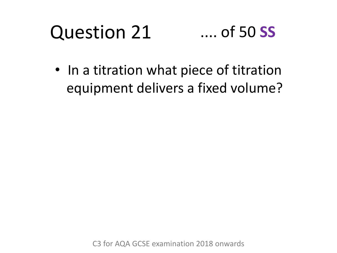#### Question 21 .... of 50 **SS**

• In a titration what piece of titration equipment delivers a fixed volume?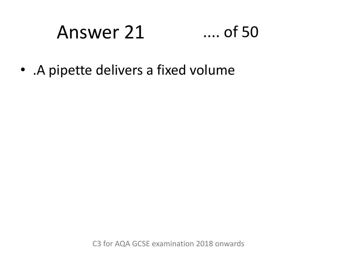#### Answer 21  $\dots$  of 50

• . A pipette delivers a fixed volume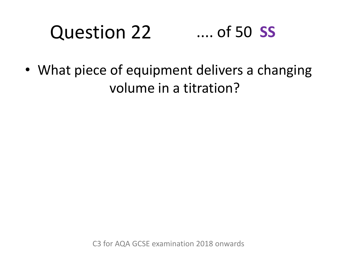#### Question 22 .... of 50 **SS**

• What piece of equipment delivers a changing volume in a titration?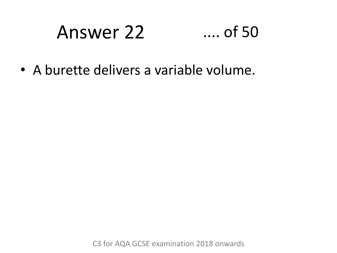#### Answer 22  $...$  of 50

• A burette delivers a variable volume.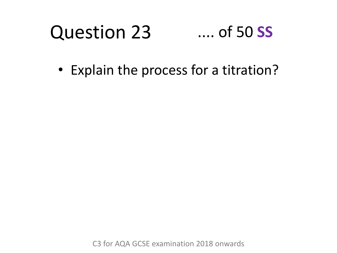#### Question 23 .... of 50 **SS**

• Explain the process for a titration?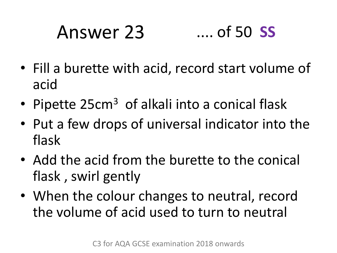# Answer 23 .... of 50 **SS**

- Fill a burette with acid, record start volume of acid
- Pipette 25cm<sup>3</sup> of alkali into a conical flask
- Put a few drops of universal indicator into the flask
- Add the acid from the burette to the conical flask , swirl gently
- When the colour changes to neutral, record the volume of acid used to turn to neutral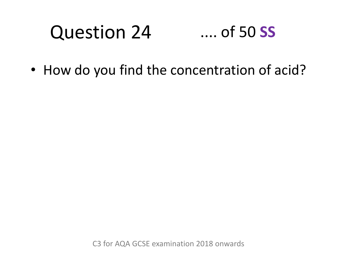#### Question 24 .... of 50 **SS**

• How do you find the concentration of acid?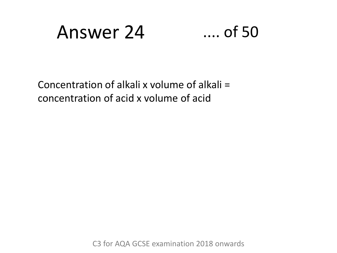### Answer 24 .... of 50

Concentration of alkali x volume of alkali = concentration of acid x volume of acid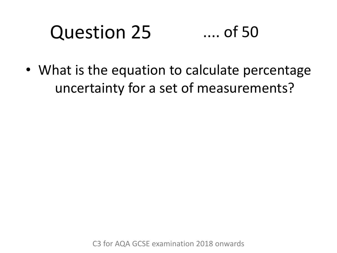#### Question 25 .... of 50

• What is the equation to calculate percentage uncertainty for a set of measurements?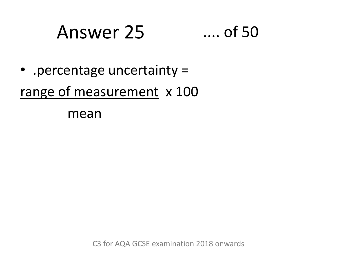## Answer 25 ...

$$
\ldots \text{ of } 50
$$

• .percentage uncertainty =

range of measurement x 100

mean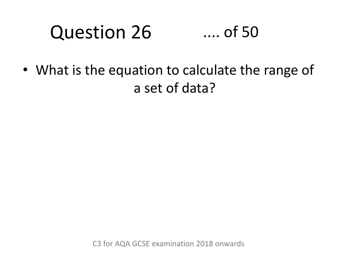#### Question 26 .... of 50

• What is the equation to calculate the range of a set of data?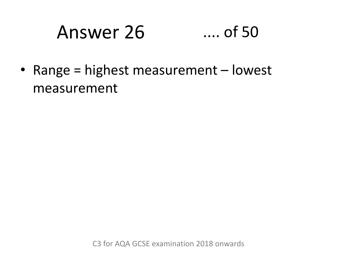#### Answer 26  $\dots$  of 50

• Range = highest measurement  $-$  lowest measurement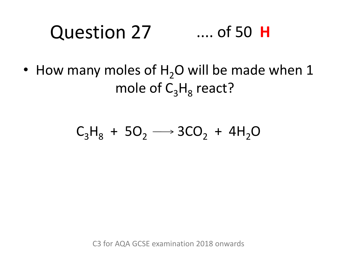#### Question 27 .... of 50 **H**

• How many moles of  $H_2O$  will be made when 1 mole of C<sub>3</sub>H<sub>8</sub> react?

### $C_3H_8 + 5O_2 \longrightarrow 3CO_2 + 4H_2O$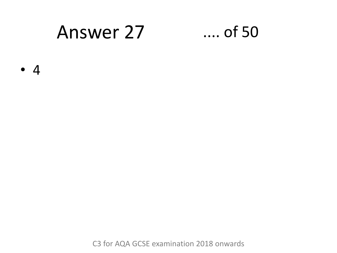### Answer 27

### $\dots$  of 50

 $\bullet$  4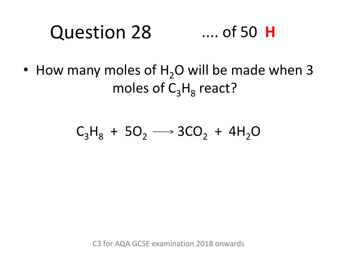#### Question 28 .... of 50 **H**

• How many moles of  $H<sub>2</sub>O$  will be made when 3 moles of C<sub>3</sub>H<sub>8</sub> react?

### $C_3H_8 + 5O_2 \longrightarrow 3CO_2 + 4H_2O$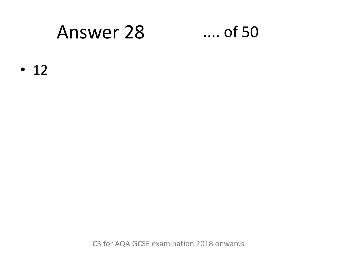### **Answer 28**

### $\dots$  of 50

 $\cdot$  12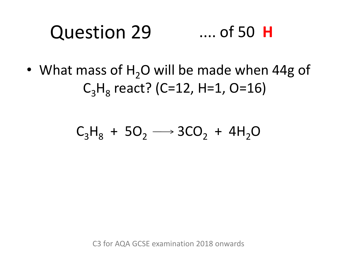#### Question 29 .... of 50 **H**

• What mass of  $H<sub>2</sub>O$  will be made when 44g of  $C_3H_8$  react? (C=12, H=1, O=16)

### $C_3H_8 + 5O_2 \longrightarrow 3CO_2 + 4H_2O$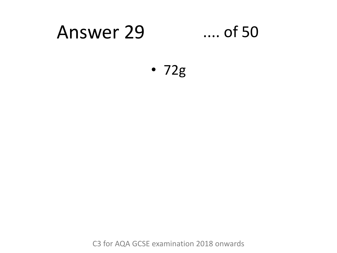#### **Answer 29**  $...$  of 50

 $\cdot$  72g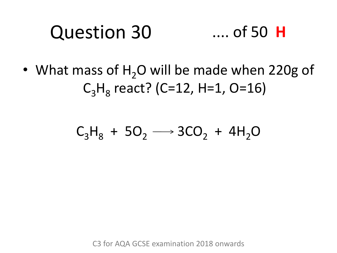#### Question 30 .... of 50 **H**

• What mass of  $H<sub>2</sub>O$  will be made when 220g of  $C_3H_8$  react? (C=12, H=1, O=16)

### $C_3H_8 + 5O_2 \longrightarrow 3CO_2 + 4H_2O$